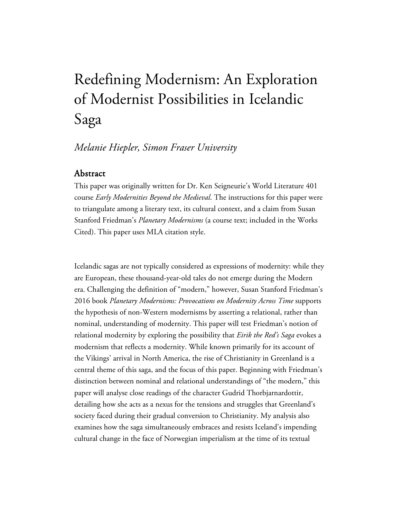## Redefining Modernism: An Exploration of Modernist Possibilities in Icelandic Saga

## *Melanie Hiepler, Simon Fraser University*

## Abstract

This paper was originally written for Dr. Ken Seigneurie's World Literature 401 course *Early Modernities Beyond the Medieval*. The instructions for this paper were to triangulate among a literary text, its cultural context, and a claim from Susan Stanford Friedman's *Planetary Modernisms* (a course text; included in the Works Cited). This paper uses MLA citation style.

Icelandic sagas are not typically considered as expressions of modernity: while they are European, these thousand-year-old tales do not emerge during the Modern era. Challenging the definition of "modern," however, Susan Stanford Friedman's 2016 book *Planetary Modernisms: Provocations on Modernity Across Time* supports the hypothesis of non-Western modernisms by asserting a relational, rather than nominal, understanding of modernity. This paper will test Friedman's notion of relational modernity by exploring the possibility that *Eirik the Red's Saga* evokes a modernism that reflects a modernity. While known primarily for its account of the Vikings' arrival in North America, the rise of Christianity in Greenland is a central theme of this saga, and the focus of this paper. Beginning with Friedman's distinction between nominal and relational understandings of "the modern," this paper will analyse close readings of the character Gudrid Thorbjarnardottir, detailing how she acts as a nexus for the tensions and struggles that Greenland's society faced during their gradual conversion to Christianity. My analysis also examines how the saga simultaneously embraces and resists Iceland's impending cultural change in the face of Norwegian imperialism at the time of its textual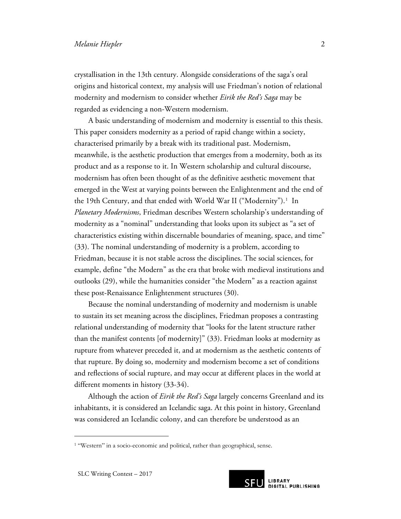crystallisation in the 13th century. Alongside considerations of the saga's oral origins and historical context, my analysis will use Friedman's notion of relational modernity and modernism to consider whether *Eirik the Red's Saga* may be regarded as evidencing a non-Western modernism.

A basic understanding of modernism and modernity is essential to this thesis. This paper considers modernity as a period of rapid change within a society, characterised primarily by a break with its traditional past. Modernism, meanwhile, is the aesthetic production that emerges from a modernity, both as its product and as a response to it. In Western scholarship and cultural discourse, modernism has often been thought of as the definitive aesthetic movement that emerged in the West at varying points between the Enlightenment and the end of the [1](#page-1-0)9th Century, and that ended with World War II ("Modernity").<sup>1</sup> In *Planetary Modernisms*, Friedman describes Western scholarship's understanding of modernity as a "nominal" understanding that looks upon its subject as "a set of characteristics existing within discernable boundaries of meaning, space, and time" (33). The nominal understanding of modernity is a problem, according to Friedman, because it is not stable across the disciplines. The social sciences, for example, define "the Modern" as the era that broke with medieval institutions and outlooks (29), while the humanities consider "the Modern" as a reaction against these post-Renaissance Enlightenment structures (30).

Because the nominal understanding of modernity and modernism is unable to sustain its set meaning across the disciplines, Friedman proposes a contrasting relational understanding of modernity that "looks for the latent structure rather than the manifest contents [of modernity]" (33). Friedman looks at modernity as rupture from whatever preceded it, and at modernism as the aesthetic contents of that rupture. By doing so, modernity and modernism become a set of conditions and reflections of social rupture, and may occur at different places in the world at different moments in history (33-34).

Although the action of *Eirik the Red's Saga* largely concerns Greenland and its inhabitants, it is considered an Icelandic saga. At this point in history, Greenland was considered an Icelandic colony, and can therefore be understood as an

 $\overline{a}$ 



<span id="page-1-0"></span><sup>&</sup>lt;sup>1</sup> "Western" in a socio-economic and political, rather than geographical, sense.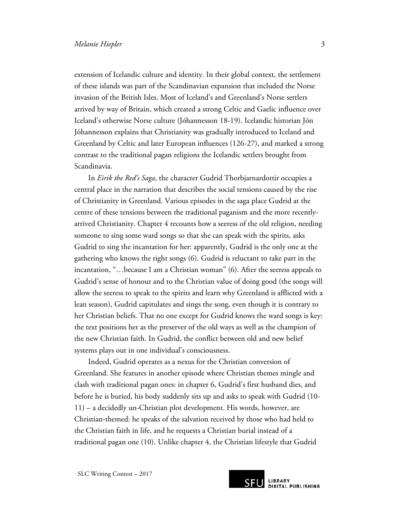extension of Icelandic culture and identity. In their global context, the settlement of these islands was part of the Scandinavian expansion that included the Norse invasion of the British Isles. Most of Iceland's and Greenland's Norse settlers arrived by way of Britain, which created a strong Celtic and Gaelic influence over Iceland's otherwise Norse culture (Jóhannesson 18-19). Icelandic historian Jón Jóhannesson explains that Christianity was gradually introduced to Iceland and Greenland by Celtic and later European influences (126-27), and marked a strong contrast to the traditional pagan religions the Icelandic settlers brought from Scandinavia.

In *Eirik the Red's Saga*, the character Gudrid Thorbjarnardottir occupies a central place in the narration that describes the social tensions caused by the rise of Christianity in Greenland. Various episodes in the saga place Gudrid at the centre of these tensions between the traditional paganism and the more recentlyarrived Christianity. Chapter 4 recounts how a seeress of the old religion, needing someone to sing some ward songs so that she can speak with the spirits, asks Gudrid to sing the incantation for her: apparently, Gudrid is the only one at the gathering who knows the right songs (6). Gudrid is reluctant to take part in the incantation, "…because I am a Christian woman" (6). After the seeress appeals to Gudrid's sense of honour and to the Christian value of doing good (the songs will allow the seeress to speak to the spirits and learn why Greenland is afflicted with a lean season), Gudrid capitulates and sings the song, even though it is contrary to her Christian beliefs. That no one except for Gudrid knows the ward songs is key: the text positions her as the preserver of the old ways as well as the champion of the new Christian faith. In Gudrid, the conflict between old and new belief systems plays out in one individual's consciousness.

Indeed, Gudrid operates as a nexus for the Christian conversion of Greenland. She features in another episode where Christian themes mingle and clash with traditional pagan ones: in chapter 6, Gudrid's first husband dies, and before he is buried, his body suddenly sits up and asks to speak with Gudrid (10- 11) – a decidedly un-Christian plot development. His words, however, are Christian-themed: he speaks of the salvation received by those who had held to the Christian faith in life, and he requests a Christian burial instead of a traditional pagan one (10). Unlike chapter 4, the Christian lifestyle that Gudrid

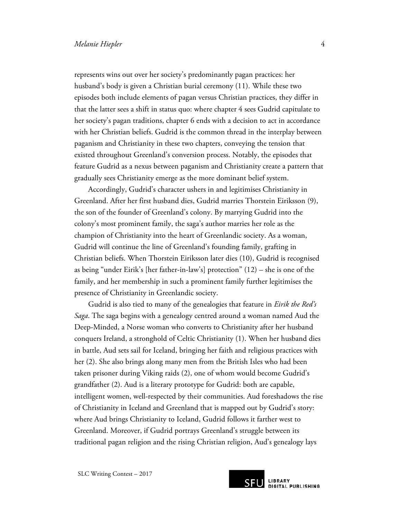represents wins out over her society's predominantly pagan practices: her husband's body is given a Christian burial ceremony (11). While these two episodes both include elements of pagan versus Christian practices, they differ in that the latter sees a shift in status quo: where chapter 4 sees Gudrid capitulate to her society's pagan traditions, chapter 6 ends with a decision to act in accordance with her Christian beliefs. Gudrid is the common thread in the interplay between paganism and Christianity in these two chapters, conveying the tension that existed throughout Greenland's conversion process. Notably, the episodes that feature Gudrid as a nexus between paganism and Christianity create a pattern that gradually sees Christianity emerge as the more dominant belief system.

Accordingly, Gudrid's character ushers in and legitimises Christianity in Greenland. After her first husband dies, Gudrid marries Thorstein Eiriksson (9), the son of the founder of Greenland's colony. By marrying Gudrid into the colony's most prominent family, the saga's author marries her role as the champion of Christianity into the heart of Greenlandic society. As a woman, Gudrid will continue the line of Greenland's founding family, grafting in Christian beliefs. When Thorstein Eiriksson later dies (10), Gudrid is recognised as being "under Eirik's [her father-in-law's] protection" (12) – she is one of the family, and her membership in such a prominent family further legitimises the presence of Christianity in Greenlandic society.

Gudrid is also tied to many of the genealogies that feature in *Eirik the Red's Saga*. The saga begins with a genealogy centred around a woman named Aud the Deep-Minded, a Norse woman who converts to Christianity after her husband conquers Ireland, a stronghold of Celtic Christianity (1). When her husband dies in battle, Aud sets sail for Iceland, bringing her faith and religious practices with her (2). She also brings along many men from the British Isles who had been taken prisoner during Viking raids (2), one of whom would become Gudrid's grandfather (2). Aud is a literary prototype for Gudrid: both are capable, intelligent women, well-respected by their communities. Aud foreshadows the rise of Christianity in Iceland and Greenland that is mapped out by Gudrid's story: where Aud brings Christianity to Iceland, Gudrid follows it farther west to Greenland. Moreover, if Gudrid portrays Greenland's struggle between its traditional pagan religion and the rising Christian religion, Aud's genealogy lays

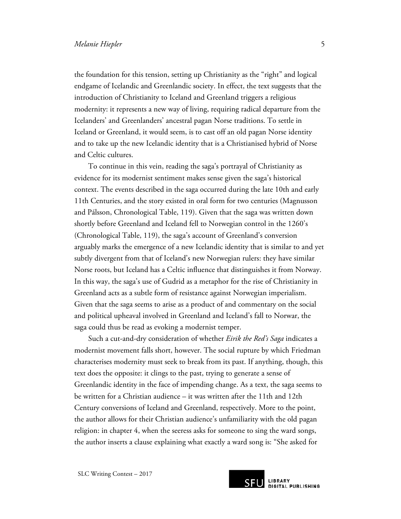the foundation for this tension, setting up Christianity as the "right" and logical endgame of Icelandic and Greenlandic society. In effect, the text suggests that the introduction of Christianity to Iceland and Greenland triggers a religious modernity: it represents a new way of living, requiring radical departure from the Icelanders' and Greenlanders' ancestral pagan Norse traditions. To settle in Iceland or Greenland, it would seem, is to cast off an old pagan Norse identity and to take up the new Icelandic identity that is a Christianised hybrid of Norse and Celtic cultures.

To continue in this vein, reading the saga's portrayal of Christianity as evidence for its modernist sentiment makes sense given the saga's historical context. The events described in the saga occurred during the late 10th and early 11th Centuries, and the story existed in oral form for two centuries (Magnusson and Pálsson, Chronological Table, 119). Given that the saga was written down shortly before Greenland and Iceland fell to Norwegian control in the 1260's (Chronological Table, 119), the saga's account of Greenland's conversion arguably marks the emergence of a new Icelandic identity that is similar to and yet subtly divergent from that of Iceland's new Norwegian rulers: they have similar Norse roots, but Iceland has a Celtic influence that distinguishes it from Norway. In this way, the saga's use of Gudrid as a metaphor for the rise of Christianity in Greenland acts as a subtle form of resistance against Norwegian imperialism. Given that the saga seems to arise as a product of and commentary on the social and political upheaval involved in Greenland and Iceland's fall to Norwar, the saga could thus be read as evoking a modernist temper.

Such a cut-and-dry consideration of whether *Eirik the Red's Saga* indicates a modernist movement falls short, however. The social rupture by which Friedman characterises modernity must seek to break from its past. If anything, though, this text does the opposite: it clings to the past, trying to generate a sense of Greenlandic identity in the face of impending change. As a text, the saga seems to be written for a Christian audience – it was written after the 11th and 12th Century conversions of Iceland and Greenland, respectively. More to the point, the author allows for their Christian audience's unfamiliarity with the old pagan religion: in chapter 4, when the seeress asks for someone to sing the ward songs, the author inserts a clause explaining what exactly a ward song is: "She asked for



**SFU** LIBRARY<br>DIGITAL PUBLISHING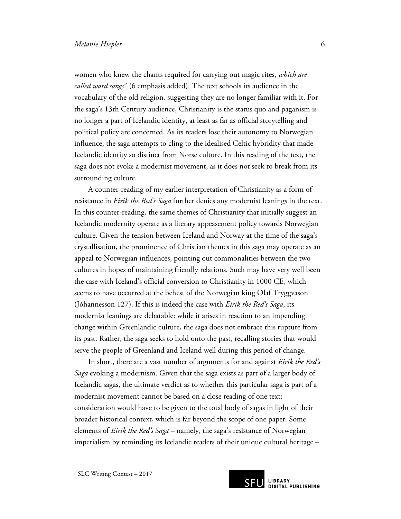women who knew the chants required for carrying out magic rites, *which are called ward songs*" (6 emphasis added). The text schools its audience in the vocabulary of the old religion, suggesting they are no longer familiar with it. For the saga's 13th Century audience, Christianity is the status quo and paganism is no longer a part of Icelandic identity, at least as far as official storytelling and political policy are concerned. As its readers lose their autonomy to Norwegian influence, the saga attempts to cling to the idealised Celtic hybridity that made Icelandic identity so distinct from Norse culture. In this reading of the text, the saga does not evoke a modernist movement, as it does not seek to break from its surrounding culture.

A counter-reading of my earlier interpretation of Christianity as a form of resistance in *Eirik the Red's Saga* further denies any modernist leanings in the text. In this counter-reading, the same themes of Christianity that initially suggest an Icelandic modernity operate as a literary appeasement policy towards Norwegian culture. Given the tension between Iceland and Norway at the time of the saga's crystallisation, the prominence of Christian themes in this saga may operate as an appeal to Norwegian influences, pointing out commonalities between the two cultures in hopes of maintaining friendly relations. Such may have very well been the case with Iceland's official conversion to Christianity in 1000 CE, which seems to have occurred at the behest of the Norwegian king Olaf Tryggvason (Jóhannesson 127). If this is indeed the case with *Eirik the Red's Saga*, its modernist leanings are debatable: while it arises in reaction to an impending change within Greenlandic culture, the saga does not embrace this rupture from its past. Rather, the saga seeks to hold onto the past, recalling stories that would serve the people of Greenland and Iceland well during this period of change.

In short, there are a vast number of arguments for and against *Eirik the Red's Saga* evoking a modernism. Given that the saga exists as part of a larger body of Icelandic sagas, the ultimate verdict as to whether this particular saga is part of a modernist movement cannot be based on a close reading of one text: consideration would have to be given to the total body of sagas in light of their broader historical context, which is far beyond the scope of one paper. Some elements of *Eirik the Red's Saga* – namely, the saga's resistance of Norwegian imperialism by reminding its Icelandic readers of their unique cultural heritage –



**SFU** LIBRARY<br>DIGITAL PUBLISHING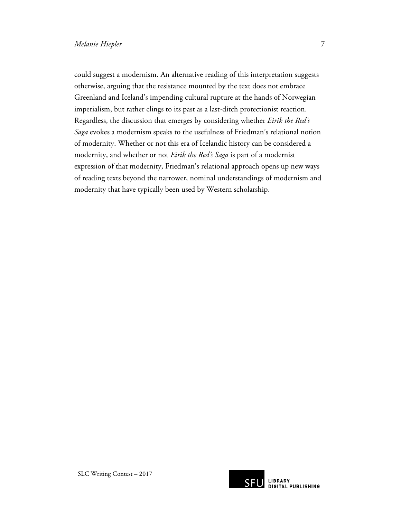could suggest a modernism. An alternative reading of this interpretation suggests otherwise, arguing that the resistance mounted by the text does not embrace Greenland and Iceland's impending cultural rupture at the hands of Norwegian imperialism, but rather clings to its past as a last-ditch protectionist reaction. Regardless, the discussion that emerges by considering whether *Eirik the Red's Saga* evokes a modernism speaks to the usefulness of Friedman's relational notion of modernity. Whether or not this era of Icelandic history can be considered a modernity, and whether or not *Eirik the Red's Saga* is part of a modernist expression of that modernity, Friedman's relational approach opens up new ways of reading texts beyond the narrower, nominal understandings of modernism and modernity that have typically been used by Western scholarship.